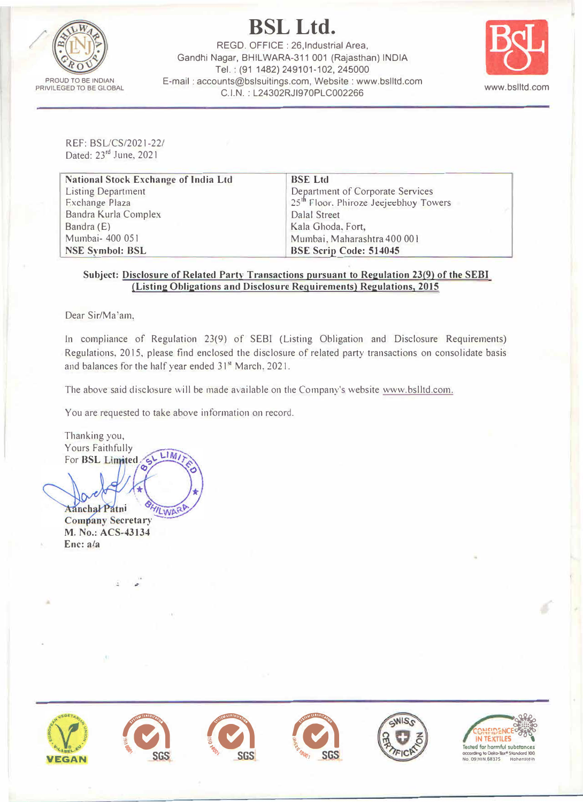

**BSL Ltd.** 

REGD. OFFICE: 26, Industrial Area, Gandhi Nagar, BHILWARA-311 001 (Rajasthan) INDIA Tel.: (91 1482) 249101-102, 245000 E-mail: accounts@bslsuitings.com, Website: www.bslltd.com C.I.N.: L24302RJI970PLC002266



REF: BSL/CS/2021-22/ Dated: 23rd June, 2021

| <b>National Stock Exchange of India Ltd</b> | <b>BSE Ltd</b>                                    |  |
|---------------------------------------------|---------------------------------------------------|--|
| <b>Listing Department</b>                   | Department of Corporate Services                  |  |
| Exchange Plaza                              | 25 <sup>th</sup> Floor. Phiroze Jeejeebhoy Towers |  |
| Bandra Kurla Complex                        | <b>Dalal Street</b>                               |  |
| Bandra (E)                                  | Kala Ghoda, Fort,                                 |  |
| Mumbai- 400 051                             | Mumbai, Maharashtra 400 001                       |  |
| <b>NSE Symbol: BSL</b>                      | <b>BSE Scrip Code: 514045</b>                     |  |

### Subject: Disclosure of Related Party Transactions pursuant to Regulation 23(9) of the SEBI (Listing Obligations and Disclosure Requirements) Regulations, 2015

Dear Sir/Ma'am.

In compliance of Regulation 23(9) of SEBI (Listing Obligation and Disclosure Requirements) Regulations, 2015, please find enclosed the disclosure of related party transactions on consolidate basis and balances for the half year ended 31<sup>st</sup> March, 2021.

The above said disclosure will be made available on the Company's website www.bslltd.com.

You are requested to take above information on record.

Thanking you, Yours Faithfully  $LIMI$ For BSL Limited

**Aanchal Patni YILWAR Company Secretary** M. No.: ACS-43134  $Enc: a/a$ 

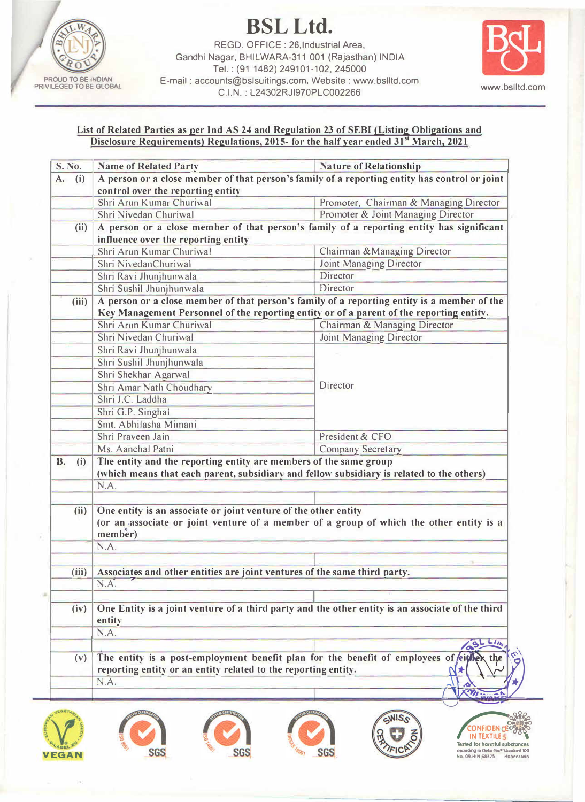

**BSLLtd.** 

REGO. OFFICE : 26,lndustrial Area, Gandhi Nagar, BHILWARA-311 001 (Rajasthan) INDIA Tel.: (91 1482) 249101-102, 245000 **E-mail : accounts@bslsuitings.com, Website : www.bslltd.com** C.I.N. : L24302RJl970PLC002266 www .bsfltd.com



## **List of Related Parties as per Ind AS 24 and Regulation 23 of SEBI {Listing Obligations and Disclosure Requirements) Regulations, 2015- for the half year ended 31"' March, 2021**

| <b>S. No.</b>    | <b>Name of Related Party</b>                                                                     | <b>Nature of Relationship</b>                                                                                     |  |  |
|------------------|--------------------------------------------------------------------------------------------------|-------------------------------------------------------------------------------------------------------------------|--|--|
| (i)<br>A.        | A person or a close member of that person's family of a reporting entity has control or joint    |                                                                                                                   |  |  |
|                  | control over the reporting entity                                                                |                                                                                                                   |  |  |
|                  | Shri Arun Kumar Churiwal                                                                         | Promoter, Chairman & Managing Director                                                                            |  |  |
|                  | Shri Nivedan Churiwal                                                                            | Promoter & Joint Managing Director                                                                                |  |  |
|                  | A person or a close member of that person's family of a reporting entity has significant<br>(ii) |                                                                                                                   |  |  |
|                  | influence over the reporting entity                                                              |                                                                                                                   |  |  |
|                  | Shri Arun Kumar Churiwal                                                                         | Chairman & Managing Director                                                                                      |  |  |
|                  | Shri NivedanChuriwal                                                                             | Joint Managing Director                                                                                           |  |  |
|                  | Shri Ravi Jhunjhunwala                                                                           | Director                                                                                                          |  |  |
|                  | Shri Sushil Jhunjhunwala                                                                         | Director                                                                                                          |  |  |
| (iii)            | A person or a close member of that person's family of a reporting entity is a member of the      |                                                                                                                   |  |  |
|                  | Key Management Personnel of the reporting entity or of a parent of the reporting entity.         |                                                                                                                   |  |  |
|                  | Shri Arun Kumar Churiwal                                                                         | Chairman & Managing Director                                                                                      |  |  |
|                  | Shri Nivedan Churiwal                                                                            | Joint Managing Director                                                                                           |  |  |
|                  | Shri Ravi Jhunjhunwala                                                                           |                                                                                                                   |  |  |
|                  | Shri Sushil Jhunjhunwala                                                                         |                                                                                                                   |  |  |
|                  | Shri Shekhar Agarwal                                                                             |                                                                                                                   |  |  |
|                  | Shri Amar Nath Choudhary                                                                         | Director                                                                                                          |  |  |
|                  | Shri J.C. Laddha                                                                                 |                                                                                                                   |  |  |
|                  | Shri G.P. Singhal                                                                                |                                                                                                                   |  |  |
|                  |                                                                                                  |                                                                                                                   |  |  |
|                  | Smt. Abhilasha Mimani                                                                            |                                                                                                                   |  |  |
|                  | Shri Praveen Jain                                                                                | President & CFO                                                                                                   |  |  |
|                  | Ms. Aanchal Patni                                                                                | <b>Company Secretary</b>                                                                                          |  |  |
| (i)              | The entity and the reporting entity are members of the same group                                | (which means that each parent, subsidiary and fellow subsidiary is related to the others)                         |  |  |
|                  | N.A.                                                                                             |                                                                                                                   |  |  |
| (ii)             | One entity is an associate or joint venture of the other entity                                  |                                                                                                                   |  |  |
|                  | member)                                                                                          |                                                                                                                   |  |  |
|                  | N.A.                                                                                             |                                                                                                                   |  |  |
|                  |                                                                                                  | (or an associate or joint venture of a member of a group of which the other entity is a                           |  |  |
| (iii)            |                                                                                                  |                                                                                                                   |  |  |
|                  | Associates and other entities are joint ventures of the same third party.<br>N.A.                |                                                                                                                   |  |  |
|                  |                                                                                                  |                                                                                                                   |  |  |
| (iv)             | entity                                                                                           |                                                                                                                   |  |  |
|                  | N.A.                                                                                             |                                                                                                                   |  |  |
|                  |                                                                                                  | S)                                                                                                                |  |  |
|                  |                                                                                                  |                                                                                                                   |  |  |
| <b>B.</b><br>(v) |                                                                                                  | The entity is a post-employment benefit plan for the benefit of employees of eigher                               |  |  |
|                  | reporting entity or an entity related to the reporting entity.<br>N.A.                           | One Entity is a joint venture of a third party and the other entity is an associate of the third<br>$Lu_{k}$<br>≯ |  |  |